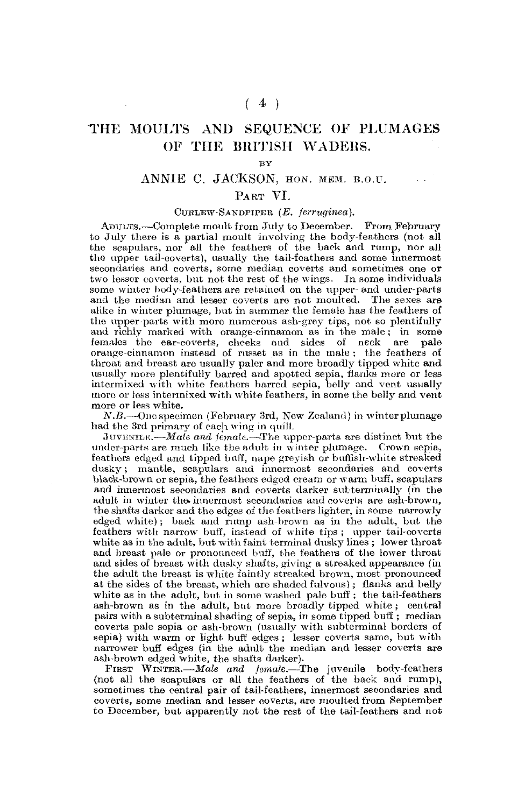# $(4)$

# THE MOULTS AND SEQUENCE OF PLUMAGES OF THE BRITISH WADERS.

 $\mathbf{v}$ 

# ANNIE C. JACKSON, HON. MEM. B.O.U.

# PART VI.

## CUBLEW-SANDPIPBB *(E. ferruginea).*

ADULTS.—Complete moult from July to December. From February to July there is a partial moult involving the body-feathers (not all the scapulars, nor all the feathers of the back and rump, nor all the upper tail-coverts), usually the tail-foathers and some innermost secondaries and coverts, some median coverts and sometimes one or two lessor coverts, but not the rest of the wings. In some individuals some winter body-feathers are retained on the upper- and under-parts and the median and lesser coverts are not moulted. The sexes are alike in winter plumage, but in summer the female has the feathers of the upper-parts with more numerous ash-grey tips, not so plentifully and richly marked with orange-cinnamon as in the male ; in some females the ear-coverts, cheeks and sides of neck are pale orange-cinnamon instead of russet as in the male : the feathers of throat and breast are usually paler and more broadly tipped white and usually more plentifully barred and spotted sepia, flanks more or less intermixed with white feathers barred sepia, belly and vent usually moro or loss intermixed with white feathers, in some the belly and vent more or less white,

*N.B.*—Oncspecimen (February 3rd, New Zealand) in winter plumage had the 3rd primary of each wing in quill.

JUVENILE.—*Male and female*.—The upper-parts are distinct but the under-parts are much like the adult in winter plumage. Crown sepia, feathers edged and tipped buff, nape greyish or huffish-white streaked dusky; mantle, scapulars and innermost secondaries and coverts black-brown or sepia, the feathers edged cream or warm buff, scapulars and innermost secondaries and coverts darker subterminally (in the adult in winter the innermost secondaries and coverts are ash-brown. the shafts darker and the edges of the feathers lighter, in some narrowly edged white); back and rump ash-brown as in the adult, but the feathers with narrow buff, instead of white tips ; upper tail-coverts white as in the adult, but with faint terminal dusky lines; lower throat and breast pale or pronounced buff, the feathers of the lower throat and sides of breast with dusky shafts, giving a streaked appearance (in the adult the breast is white faintly streaked brown, most pronounced at the sides of the breast, which are shaded fulvous); flanks and belly white as in the adult, but in some washed pale buff ; the tail-feathers ash-brown as in the adult, but more broadly tipped white ; central pairs with a subterminal shading of sepia, in some tipped buff ; median coverts pale sepia or ash-brown (usually with subterminal borders of sepia) with warm or light buff edges ; lesser coverts same, but with narrower buff edges (in the adult the median and lesser coverts are ash-brown edged white, the shafts darker).

FIBST WINTER.—*Male and female.*—The juvenile body-feathers (not all the scapulars or all the feathers of the back and rump), sometimes the central pair of tail-feathers, innermost secondaries and coverts, some median and lesser coverts, are moulted from September to December, but apparently not the rest of the tail-feathers and not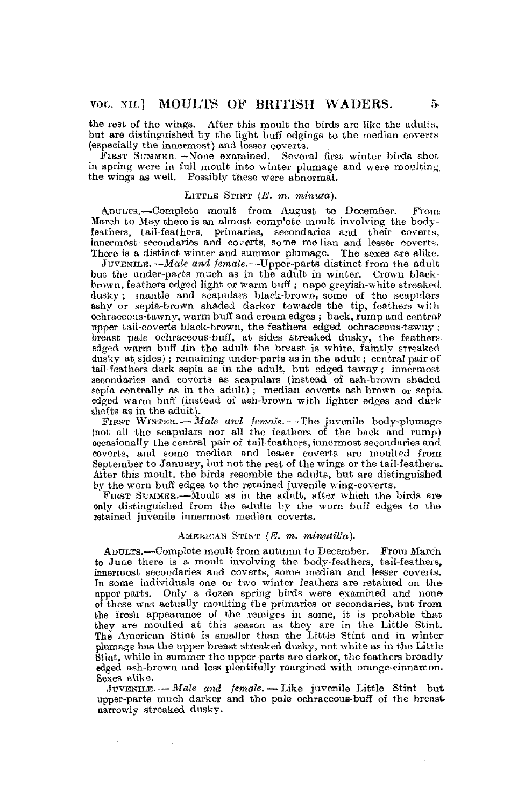the rest of the wings. After this moult the birds are like the adults, but are distinguished by the light buff edgings to the median coverts (especially the innermost) and lesser coverts.

FIBST SUMMER.—None examined. Several first winter birds shot in spring were in full moult into winter plumage and were moulting. the wings as well. Possibly these were abnormal.

#### LITTLE STINT *(E. m. minuta).*

ADULTS.—-Complete moult from August to December. From. March to May there is an almost complete moult involving the bodyfeathers, tail-feathers, primaries, secondaries and their coverts,, innermost secondaries and coverts, some me lian and lesser coverts. There is a distinct winter and summer plumage. The sexes are alike.

JUVENILE.—*Male and female*.—Upper-parts distinct from the adult but the under-parts much as in the adult in winter. Crown blackbrown, feathers edged light or warm buff ; nape greyish-white streaked, dusky; mantle and scapulars black-brown, some of the scapulars ashy or sepia-brown shaded darker towards the tip, feathers with ochraeeous-tawny, warm buff and cream edges ; back, rump and central' upper tail-coverts black-brown, the feathers edged ochraeeous-tawny ; breast pale ochraceous-buff, at sides streaked dusky, the feathers edged warm buff .(in the adult the breast is white, faintly streaked dusky at sides); remaining under-parts as in the adult; central pair of tail-feathers dark sepia as in the adult, but edged tawny; innermost secondaries and coverts as scapulars (instead of ash-brown shaded sepia centrally as in the adult); median coverts ash-brown or sepia. edged warm buff (instead of ash-brown with lighter edges and dark shafts as in the adult).

FIRST WINTER. — Male and female. — The juvenile body-plumage-(not all the scapulars nor all the feathers of the back and rump) occasionally the central pair of tail-feathers, innermost secondaries and coverts, and some median and lesser coverts are moulted from September to January, but not the rest of the wings or the tail-feathers. After this moult, the birds resemble the adults, but are distinguished by the worn buff edges to the retained juvenile wing-coverts.

FIRST SUMMER.—Moult as in the adult, after which the birds are only distinguished from the adults by the worn buff edges to the retained juvenile innermost median coverts.

#### AMERICAN STINT *(E. m. mimitilla).*

ADULTS.—Complete moult from autumn to December. From March to June there is a moult involving the body-feathers, tail-feathers, innermost secondaries and coverts, some median and lesser coverts. In some individuals one or two winter feathers are retained on the upper-parts. Only a dozen spring birds were examined and none of these was actually moulting the primaries or secondaries, but from the fresh appearance of the remiges in some, it is probable that they are moulted at this season as they are in the Little Stint. The American Stint is smaller than the Little Stint and in winter plumage has the upper breast streaked dusky, not white as in the Litt le Stint, while in summer the upper-parts are darker, the feathers broadly edged ash-brown and less plentifully margined with orange-cinnamon. Sexes alike.

JUVENILE. —- *Male and female.* — Like juvenile Little Stint but upper-parts much darker and the pale ochraceous-buff of the breast narrowly streaked dusky.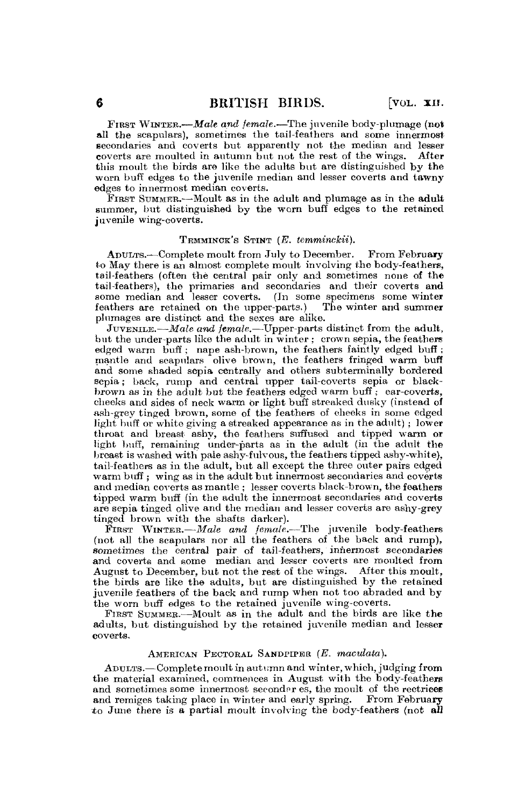FIRST WINTER.—*Male and female.-*—The juvenile body-plumage (not all the scapulars), sometimes the tail-feathers and some innermost secondaries and coverts but apparently not the median and lesser coverts are moulted in autumn but not the rest of the wings. After this moult the birds are like the adults but are distinguished by the worn buff edges to the juvenile median and lesser coverts and tawny edges to innermost median coverts.

FIRST SUMMER.—Moult as in the adult and plumage as in the adult summer, but distinguished by the worn buff edges to the retained juvenile wing-coverts.

#### TEMMINCK'S STINT (B. *temminckii).*

ADULTS.—Complete moult from July to December. From February to May there is an almost complete moult involving the body-feathers, tail-feathers (often the central pair only and sometimes none of the tail-feathers), the primaries and secondaries and their coverts and some median and lesser coverts. (In some specimens some winter feathers are retained on the upper-parts.) The winter and summer plumages are distinct and the sexes are alike.

JUVENILE.—*Male and female*.—Upper-parts distinct from the adult, but the under-parts like the adult in winter ; crown sepia, the feathers edged warm buff ; nape ash-brown, the feathers faintly edged buff ; mantle and scapulars olive brown, the feathers fringed warm buff and some shaded sepia centrally and others subterminally bordered sepia; back, rump and central upper tail-coverts sepia or blackbrown as in the adult but the feathers edged warm buff ; ear-coverts, cheeks and sides of neck warm or light buff streaked dusky (instead of ash-grey tinged brown, some of the feathers of cheeks in some edged light buff or white giving a streaked appearance as in the adult) ; lower throat and breast ashy, the feathers suffused and tipped warm or light buff, remaining under-parts as in the adult (in the adult the breast is washed with pale ashy-fulvous, the feathers tipped ashy-white), tail-feathers as in the adult, but all except the three outer pairs edged warm buff: wing as in the adult but innermost secondaries and coverts and median coverts as mantle ; lesser coverts black-brown, the feathers tipped warm buff (in the adult the innermost secondaries and coverts are sepia tinged olive and the median and lesser coverts are ashy-grey tinged brown with the shafts darker).

FIRST WINTER.—*Male and female.—The* juvenile body-feathers (not all the scapulars nor all the feathers of the back and rump), sometimes the central pair of tail-feathers, innermost secondaries and coverts and some median and lesser coverts are moulted from August to December, but not the rest of the wings. After this moult, the birds are like the adults, but are distinguished by the retained juvenile feathers of the back and rump when not too abraded and by the worn buff edges to the retained juvenile wing-coverts.

FIRST SUMMER.—Moult as in the adult and the birds are like the adults, but distinguished by the retained juvenile median and lesser coverts.

#### AMERICAN PECTORAL SANDPIPER *(E. maculata).*

ADULTS.—Complete moult in autumn and winter, which, judging from the material examined, commences in August with the body-feathers and sometimes some innermost secondar es, the moult of the rectrices and remiges taking place in winter and early spring. From February to June there is a partial moult involving the body-feathers (not all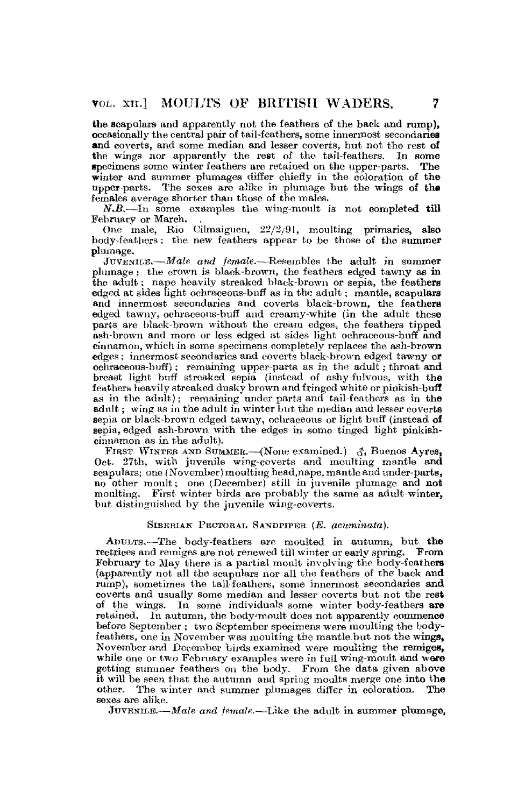the scapulars and apparently not the feathers of the back and rump), occasionally the central pair of tail-feathers, some innermost secondaries and coverts, and some median and lesser coverts, but not the rest of the wings nor apparently the rest of the tail-feathers. In some specimens some winter feathers are retained on the upper-parts. The winter and summer plumages differ chiefly in the coloration of the upper-parts. The sexes are alike in plumage but the wings of the females average shorter than those of the males.

*N.B.*—In some examples the wing-moult is not completed till February or March.

One male, Rio Cilmaiguen, 22/2/91, moulting primaries, also body-feathers; the new feathers appear to be those of the summer plumage.

JUVENILE.—*Male and female,*—Resembles the adult in summer plumage ; the crown is black-brown, the feathers edged tawny as in the adult: nape heavily streaked black-brown or sepia, the feathers edged at sides light ochraceous-buff as in the adult; mantle, scapulars and innermost secondaries and coverts blaek-brown, the feathers edged tawny, ochraceous-buff and creamy-white (in the adult these parts are blaek-brown without the cream edges, the feathers tipped ash-brown and more or less edged at sides light ochraceous-buff and cinnamon, which in some specimens completely replaces the ash-brown edges; innermost secondaries and coverts blaek-brown edged tawny of oehraeeous-huff); remaining upper-parts as in the adult; throat and breast light buff streaked sepia (instead of ashy-fulvous, with tha feathers heavily streaked dusky brown and fringed white or pinkish-buff as in the adult); remaining under-parts and tail-feathers as in the adult; wing as in the adult in winter but the median and lesser coverts sepia or black-brown edged tawny, ochraceous or light buff (instead of sepia, edged ash-brown with the edges in some tinged light pinkishcinnamon as in the adult).

FIRST WINTER AND SUMMER. (None examined.)  $\partial$ , Buenos Ayres, Oct. 27th, with juvenile wing-coverts and moulting mantle and scapulars; one (November) moulting head,nape, mantle and under-parts, no other moult; one (December) still in juvenile plumage and not moulting. First winter birds are probably the same as adult winter, but distinguished by the juvenile wing-coverts.

# SIBEBIAN PBCTOBAL SANDPIPER *(E. acuminata).*

ADULTS.—The body-feathers are moulted in autumn, but the reetrices and remiges are not renewed till winter or early spring. From February to May there is a partial moult involving the body-feathers (apparently not all the scapulars nor all the feathers of the back and rump), sometimes the tail-feathers, some innermost secondaries and coverts and usually some median and lesser coverts but not the rest of the wings. In some individuals some winter body-feathers are retained. In autumn, the body-moult does not apparently commence before September*;* two September specimens were moulting the bodyfeathers, one in November was moulting the mantle.but not the wings, November and December birds examined were moulting the remiges, while one or two February examples were in full wing-moult and were getting summer feathers on the body. From the data given above it will be seen that the autumn and spring moults merge one into the other. The winter and summer plumages differ in coloration. The sexes are alike.

JUVENILE.—*Male and female*.—Like the adult in summer plumage,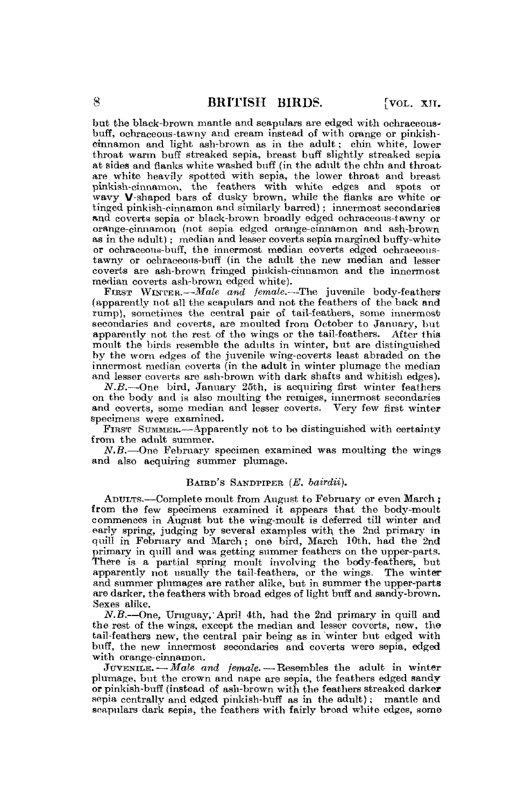but the blaok-brown mantle and scapulars are edged with oehraeeousbuff, ochraeeous-tawny and cream instead of with orange or pinkishcinnamon and light ash-brown as in the adult; chin white, lower throat warm buff streaked sepia, breast buff slightly streaked sepia at sides and flanks white washed buff (in the adult the chin and throatare white heavily spotted with sepia, the lower throat and breast pinkish-cinnamon, the feathers with white edges and spots or wavy V-shaped bars of dusky brown, while the flanks are white or tinged pinkish-cinnamon and similarly barred); innermost secondaries and coverts sepia or black-brown broadly edged ochraceous-tawny or orange-cinnamon (not sepia edged orange-cinnamon and ash-brown as in the adult) ; median and lesser coverts sepia margined buffy-white or ochraceous-buff, the innermost median coverts edged oehraceoustawny or ochraceous-buff (in the adult the new median and lesser coverts are ash-brown fringed pinkish-cinnamon and the innermost median coverts ash-brown edged white).

FIRST WINTER.—*Male and female*.—The juvenile body-feathers (apparently not all the scapulars and not the feathers of the back and rump), sometimes the central pair of tail-feathers, some innermost secondaries and coverts, are moulted from October to January, but apparently not the rest of the wings or the tail-feathers. After this moult the birds resemble the adults in winter, but are distinguished by the worn edges of the juvenile wing-eoverts least abraded on the innermost median coverts (in the adult in winter plumage the median and lesser coverts are ash-brown with dark shafts and whitish edges),

*N.B.*—One bird, January 25th, is acquiring first winter feathers on the body and is also moulting the remiges, innermost secondaries and coverts, some median and lesser eoverts. Very few first winter specimens were examined.

FIRST SUMMER.—-Apparently not to be distinguished with certainty from the adult summer.

*N.B.*—-One February specimen examined was moulting the wings and also acquiring summer plumage.

#### BAIHD'S SANDPIPER *(E. bairdii).*

ADULTS.—Complete moult from August to February or even March ; from the few specimens examined it appears that the body-moult commences in August but the wing-moult is deferred till winter and early spring, judging by several examples with the 2nd primary in quill in February and March; one bird, March 10th, had the 2nd primary in quill and was getting summer feathers on the upper-parts. There is a partial spring moult involving the body-feathers, but apparently not usually the tail-feathers, or the wings. The winter and summer plumages are rather alike, but in summer the upper-parts are darker, the feathers with broad edges of light buff and sandy-brown. Sexes alike.

*N.B.*—One, Uruguay,' April 4th, had the 2nd primary in quill and the rest of the wings, except the median and lesser coverts, new, the tail-feathers new, the central pair being as in winter but edged with buff, the new innermost secondaries and coverts were sepia, edged with orange-cinnamon.

JUVENILE. — Male and female. — Resembles the adult in winter plumage, but the crown and nape are sepia, the feathers edged sandy or pinkish-buff (instead of ash-brown with the feathers streaked darker sepia centrally and edged pinkish-buff as in the adult); mantle and scapulars dark sepia, the feathers with fairly broad white edges, some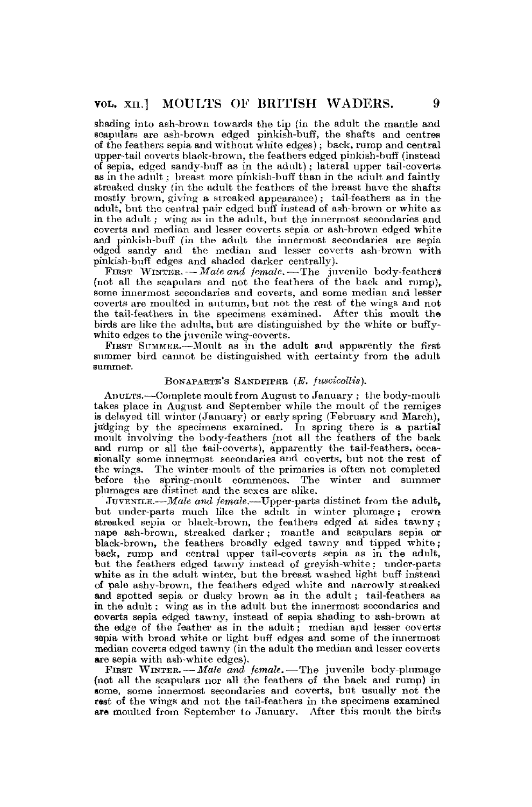shading into ash-brown towards the tip (in the adult the mantle and scapulars are ash-brown edged pinkish-buff, the shafts and centres of the feathers sepia and without white edges); back, rump and central upper-tail coverts black-brown, the feathers edged pinkish-buff (instead of sepia, edged sandy-buff as in the adult); lateral upper tail-covertsas in the adult; breast more pinkish-buff than in the adult and faintly streaked dusky (in the adult the feathers of the breast have the shafts mostly brown, giving a streaked appearance); tail-feathers as in the adult, but the central pair edged buff instead of ash-brown or white as in the adult; wing as in the adult, but the innermost secondaries and coverts and median and lesser coverts sepia or ash-brown edged white and pinkish-buff (in the adult the innermost secondaries are sepia edged sandy and the median and lesser coverts ash-brown with pinkish-buff edges and shaded darker centrally).

FIRST WINTER. — Male and *jemale*. — The juvenile body-feathers (not all the scapulars and not the feathers of the back and rump), some innermost secondaries and coverts, and some median and lesser coverts are moulted in autumn, but not the rest of the wings and not the tail-feathers in the specimens examined. After this moult the birds are like the adults, but are distinguished by the white or buffywhite edges to the juvenile wing-coverts.

FIRST SUMMER.—Moult as in the adult and apparently the first summer bird cannot be distinguished with certainty from the adult summer.

# BONAPARTE'S SANDPIPER (E. fuscicollis).

ADULTS.—Complete moult from August to January ; the body-moult takes place in August and September while the moult of the remiges is delayed till winter (January) or early spring (February and March), judging by the specimens examined. In spring there is a partial moult involving the body-feathers (not all the feathers of the back and rump or all the tail-coverts), apparently the tail-feathers, occasionally some innermost secondaries and coverts, but not the rest of the wings. The winter-moult of the primaries is often not completed before the spring-moult commences. The winter and summer plumages are distinct and the sexes are alike.

JUVENILE.—*Male and female.*—Upper-parts distinct from the adult, but under-parts much like the adult in winter plumage; crown streaked sepia or black-brown, the feathers edged at sides tawny ; nape ash-brown, streaked darker; mantle and scapulars sepia or black-brown, the feathers broadly edged tawny and tipped white; back, rump and central upper tail-coverts sepia as in the adult, but the feathers edged tawny instead of greyish-white; under-partswhite as in the adult winter, but the breast washed light buff instead of pale ashy-brown, the feathers edged white and narrowly streaked and spotted sepia or dusky brown as in the adult; tail-feathers as in the adult; wing as in the adult but the innermost secondaries and coverts sepia edged tawny, instead of sepia shading to ash-brown at the edge of the feather as in the adult; median and lesser coverts sepia with broad white or light buff edges and some of the innermost median coverts edged tawny (in the adult the median and lesser coverts are sepia with ash-white edges).

FIRST WINTER. — Male and female. — The juvenile body-plumage (not all the scapulars nor all the feathers of the back and rump) in gome, some innermost secondaries and coverts, but usually not the rest of the wings and not the tail-feathers in the specimens examined are moulted from September to January. After this moult the birds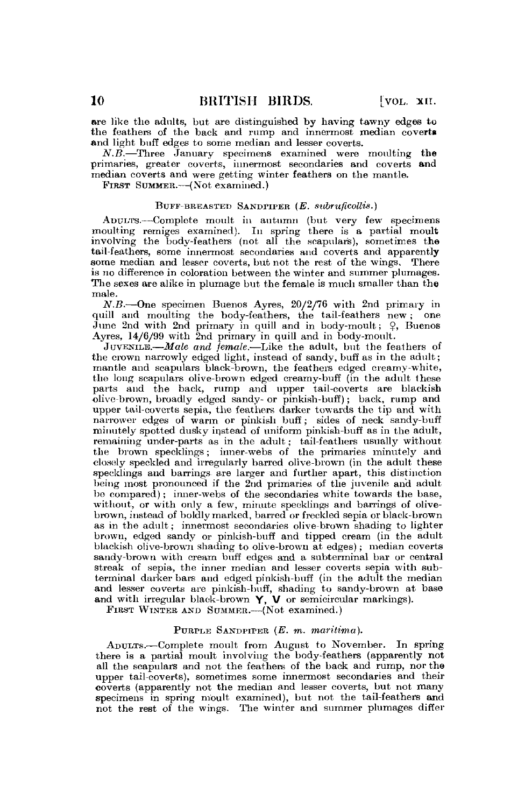are like the adults, but are distinguished by having tawny edges to the feathers of the back and rump and innermost median coverts and light buff edges to some median and lesser coverts.

*N.B.*—Three January specimens examined were moulting the primaries, greater coverts, innermost secondaries and coverts and median coverts and were getting winter feathers on the mantle.

FIRST SUMMER.—(Not examined.)

### BUFF-BREASTED SANDPIPER (E. subruficollis.)

ADULTS.—Complete moult in autumn (but very few specimens moulting remiges examined). In spring there is a partial moult involving the body-feathers (not all the scapular's), sometimes the tail-feathers, some innermost secondaries and coverts and apparently some median and lesser coverts, but not the rest of the wings. There is no difference in coloration between the winter and summer plumages. The sexes are alike in plumage but the female is much smaller than the male.

*N.B.*—One specimen Buenos Ayres, 20/2/76 with 2nd primary in quill and moulting the body-feathers, the tail-feathers new ; one June 2nd with 2nd primary in quill and in body-moult;  $\varphi$ , Buenos Ayres, 14/6/99 with 2nd primary in quill and in body-moult.

JUVENILE.—*Male and female.*—Like the adult, but the feathers of the crown narrowly edged light, instead of sandy, buff as in the adult; mantle and scapulars black-brown, the feathers edged creamy-white, the long scapulars olive-brown edged creamy-buff (in the adult these parts and the back, rump and upper tail-coverts are blackish olive-brown, broadly edged sandy- or pinkish-buff); back, rump and upper tail-coverts sepia, the feathers darker towards the tip and with narrower edges of warm or pinkish buff; sides of neck sandy-buff minutely spotted dusky instead of uniform pinkish-buff as in the adult, remaining under-parts as in the adult; tail-feathers usually without the brown specklings; inner-webs of the primaries minutely and closely speckled and irregularly barred olive-brown (in the adult these speeklings and barrings are larger and further apart, this distinction being most pronounced if the 2nd primaries of the juvenile and adult be compared); inner-webs of the secondaries white towards the base, without, or with only a few, minute specklings and barrings of olivebrown, instead of boldly marked, barred or freckled sepia or black-brown as in the adult; innermost secondaries olive-brown shading to lighter brown, edged sandy or pinkish-buff and tipped cream (in the adult blackish olive-brown shading to olive-brown at edges); median coverts sandy-brown with cream buff edges and a subterminal bar or central streak of sepia, the inner median and lesser coverts sepia with subterminal darker bars and edged pinkish-buff (in the adult the median and lesser coverts are pinkish-buff, shading to sandy-brown at base and with irregular black-brown Y, V or semicircular markings).

FIRST WINTER AND SUMMER.—(Not examined.)

## PURPLE SANDPIPER *(E. m. marilima).*

ADULTS.—Complete moult from August to November. In spring there is a partial moult involving the body-feathers (apparently not all the scapulars and not the feathers of the back and rump, nor the upper tail-coverts), sometimes some innermost secondaries and their coverts (apparently not the median and lesser coverts, but not many specimens in spring moult examined), but not the tail-feathers and not the rest of the wings. The winter and summer plumages differ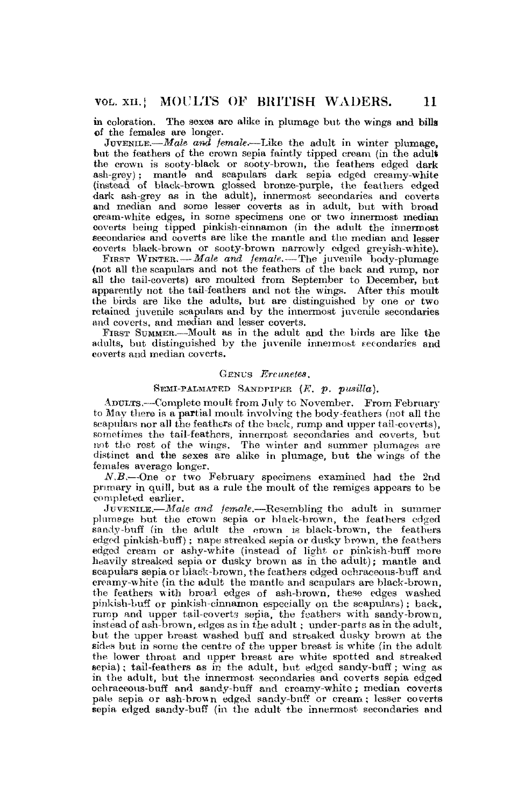in coloration. The sexes are alike in plumage but the wings and bills of the females are longer.

JOVENIKE.—*Male and female,-*—Like the adult in winter plumage, but the feathers of the crown sepia faintly tipped cream (in the adult the crown is sooty-black or sooty-brown, the feathers edged dark ash-grey) ; mantie and scapulars dark sepia edged creamy-white (instead of black-brown glossed bronze-purple, the feathers edged dark ash-grey as in the adult), innermost secondaries and coverts and median and some lesser coverts as in adult, but with broad cream-white edges, in some specimens one or two innermost median coverts being tipped pinkish-cinnamon (in the adult the innermost secondaries and coverts are like the mantle and the median and lesser coverts black-brown or sooty-brown narrowly edged greyish-white).

FIRST WINTER. — *Male and female.*—The juvenile body-plumage (not all the scapulars and not the feathers of the back and rump, nor all the tail-coverts) are moulted from September to December, but apparently not the tail-feathers and not the wings. After this moult the birds are like the adults, but are distinguished by one or two retained juvenile scapulars and by the innermost juvenile secondaries and coverts, and median and lesser coverts.

FIRST SUMMER.—Moult as in the adult and the birds are like the adults, but distinguished by the juvenile innermost secondaries and coverts and median coverts.

#### GENUS *Ercunetes,*

## SEMI-PALMATED SANDPIPER (*F. p. pusilla*).

ADULTS.—Complete moult from July to November. From February to May there is a partial moult involving the body-feathers (not all the scapulars nor all the feathers of the back, rump and upper tail-coverts), sometimes the tail-feathers, innermost secondaries and coverts, but not tho rest of the wings. The winter and summer plumages are distinct and the sexes are alike in plumage, but the wings of the females average longer.

*N.B.*-One or two February specimens examined had the 2nd primary in quill, but as a rule the moult of the remiges appears to be completed earlier.

JUVENILE.—*Male and female.*—Resembling the adult in summer plumage but the crown sepia or black-brown, the feathers edged sandy-buff (in the adult the crown is black-brown, the feathers edged pinkish-buff); nape streaked sepia or dusky brown, the feathers edged cream or ashy-white (instead of light or pinkish-buff more heavily streaked sepia or dusky brown as in the adult); mantle and scapulars sepia or black-brown, the feathers edged ochraceous-buff and creamy-white (in the adult the mantle and scapulars are black-brown, the feathers with broad edges of ash-brown, these edges washed pinkish-buff or pinkish-cinnamon especially on the scapulars); back, rump and upper tail-coverts sepia, the feathers with sandy-brown, instead of ash-brown, edges as in the adult. ; under-parts as in the adult, but the upper breast washed buff and streaked dusky brown at the sides but in some the centre of the upper breast is white (in the adult the lower throat and upper breast are white spotted and streaked sepia); tail-feathers as in the adult, but edged sandy-buff; wing as in the adult, but the innermost secondaries and coverts sepia edged ochraeeous-buff and sandy-buff and creamy-whito; median coverts pale sepia or ash-brown edged sandy-buff or cream; lesser coverts sepia edged sandy-buff (in the adult the innermost secondaries and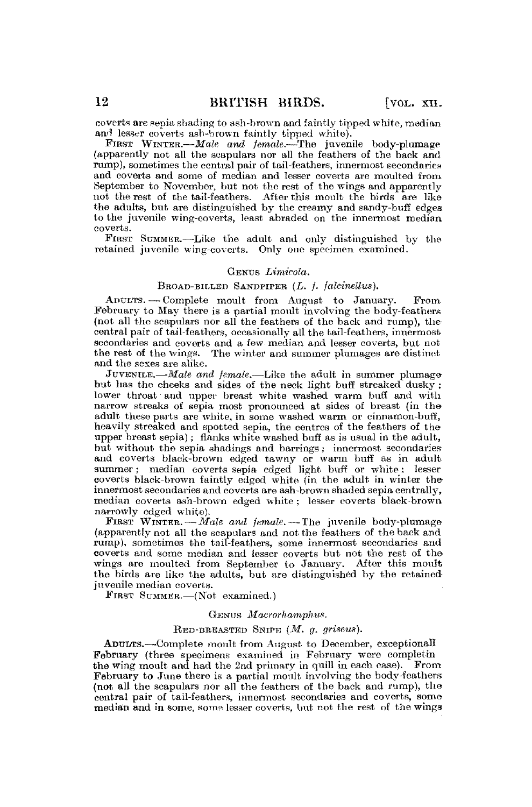ooverts are sepia, shading to ash-brown and faintly tipped white, median and leaser coverts ash-brown faintly tipped white).

FIRST WINTER.—*Male and female.*—The juvenile body-plumage (apparently not all the scapulars nor all the feathers of the back and rump), sometimes the central pair of tail-feathers, innermost secondaries and coverts and some of median and lesser coverts are moulted from September to November, but not the rest of the wings and apparently not the rest of the tail-feathera. After this moult the birds are like the adults, but are distinguished by the creamy and eandy-buff edges to the juvenile wing-coverts, least abraded on the innermost median coverts.

FIRST SUMMER.—Like the adult and only distinguished by the retained juvenile wing-coverts. Only one specimen examined.

### GENUS *Limicola.*

#### BROAD-BILKBD SANDPIPER *(L. f. falcinellus).*

ADULTS. — Complete moult from August to January. From February to May there is a partial moult involving the body-feathers (not all the scapulars nor all the feathers of the back and rump), the central pair of tail-feathers, occasionally all the tail-feathers, innermost secondaries and coverts and a few median and lesser coverts, but not the rest of the wings. The winter and summer plumages are distinct and the sexes are alike.

JUVENILE.—*Male and female.*—Like the adult in summer plumage but has the cheeks and sides of the neck light buff streaked dusky ; lower throat and upper breast white washed warm buff and with narrow streaks of sepia most pronounced at sides of breast (in the adult these parts are white, in some washed warm or cinnamon-buff, heavily streaked and spotted sepia, the centres of the feathers of the upper breast sepia); flanks white washed buff as is usual in the adult, but without the sepia shadings and barrings; innermost secondaries and coverts black-brown edged tawny or warm buff as in adult summer; median coverts sepia edged light buff or white ; lesser coverts black-brown faintly edged white (in the adult in winter the innermost secondaries and coverts are ash-brown shaded sepia centrally, median ooverts ash-brown edged white ; lesser coverts black-brown

narrowly edged white).<br>FIRST WINTER. -- Male and *female*. -- The juvenile body-plumage (apparently not all the scapulars and not the feathers of the back and rump), sometimes the tail-feathers, some innermost secondaries and coverts and some median and lesser coverts but not the rest of the wings are moulted from September to January. After this moult the birds are like the adults, but are distinguished by the retained juvenile median coverts.

FIRST SUMMER.—(Not examined.)

#### GENUS *Macrorhamphus.*

#### RED-BREASTED SNIPE *(M. g. griseus).*

ADULTS.—Complete moult from August to December, exceptional! February (three specimens examined in February were eompletin the wing moult and had the 2nd primary in quill in each ease). From February to June there is a partial moult involving the body-feathers (not all the scapulars nor all the feathers of the back and rump), the central pair of tail-feathers, innermost secondaries and coverts, some median and in some, some lesser coverts, but not the rest of the wings